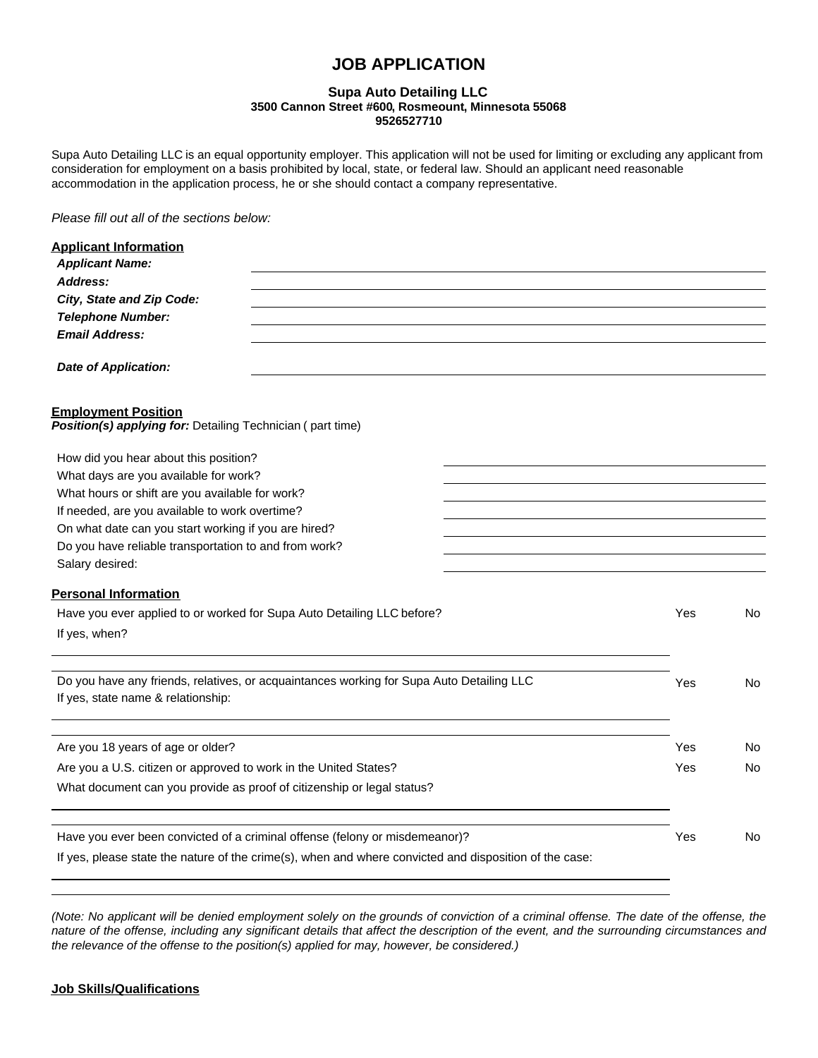# **JOB APPLICATION**

### **Supa Auto Detailing LLC 3500 Cannon Street #600, Rosmeount, Minnesota 55068 9526527710**

Supa Auto Detailing LLC is an equal opportunity employer. This application will not be used for limiting or excluding any applicant from consideration for employment on a basis prohibited by local, state, or federal law. Should an applicant need reasonable accommodation in the application process, he or she should contact a company representative.

*Please fill out all of the sections below:*

| <b>Applicant Information</b>                                                                                                   |     |     |
|--------------------------------------------------------------------------------------------------------------------------------|-----|-----|
| <b>Applicant Name:</b>                                                                                                         |     |     |
| Address:                                                                                                                       |     |     |
| City, State and Zip Code:                                                                                                      |     |     |
| <b>Telephone Number:</b>                                                                                                       |     |     |
| <b>Email Address:</b>                                                                                                          |     |     |
| <b>Date of Application:</b>                                                                                                    |     |     |
| <b>Employment Position</b><br>Position(s) applying for: Detailing Technician (part time)                                       |     |     |
| How did you hear about this position?                                                                                          |     |     |
| What days are you available for work?                                                                                          |     |     |
| What hours or shift are you available for work?                                                                                |     |     |
| If needed, are you available to work overtime?                                                                                 |     |     |
| On what date can you start working if you are hired?                                                                           |     |     |
| Do you have reliable transportation to and from work?                                                                          |     |     |
| Salary desired:                                                                                                                |     |     |
| <b>Personal Information</b>                                                                                                    |     |     |
| Have you ever applied to or worked for Supa Auto Detailing LLC before?                                                         | Yes | No  |
| If yes, when?                                                                                                                  |     |     |
|                                                                                                                                |     |     |
| Do you have any friends, relatives, or acquaintances working for Supa Auto Detailing LLC<br>If yes, state name & relationship: | Yes | No. |
|                                                                                                                                |     |     |
| Are you 18 years of age or older?                                                                                              | Yes | No. |
| Are you a U.S. citizen or approved to work in the United States?                                                               | Yes | No  |
| What document can you provide as proof of citizenship or legal status?                                                         |     |     |
|                                                                                                                                |     |     |
| Have you ever been convicted of a criminal offense (felony or misdemeanor)?                                                    | Yes | No  |
| If yes, please state the nature of the crime(s), when and where convicted and disposition of the case:                         |     |     |

*(Note: No applicant will be denied employment solely on the grounds of conviction of a criminal offense. The date of the offense, the nature of the offense, including any significant details that affect the description of the event, and the surrounding circumstances and the relevance of the offense to the position(s) applied for may, however, be considered.)*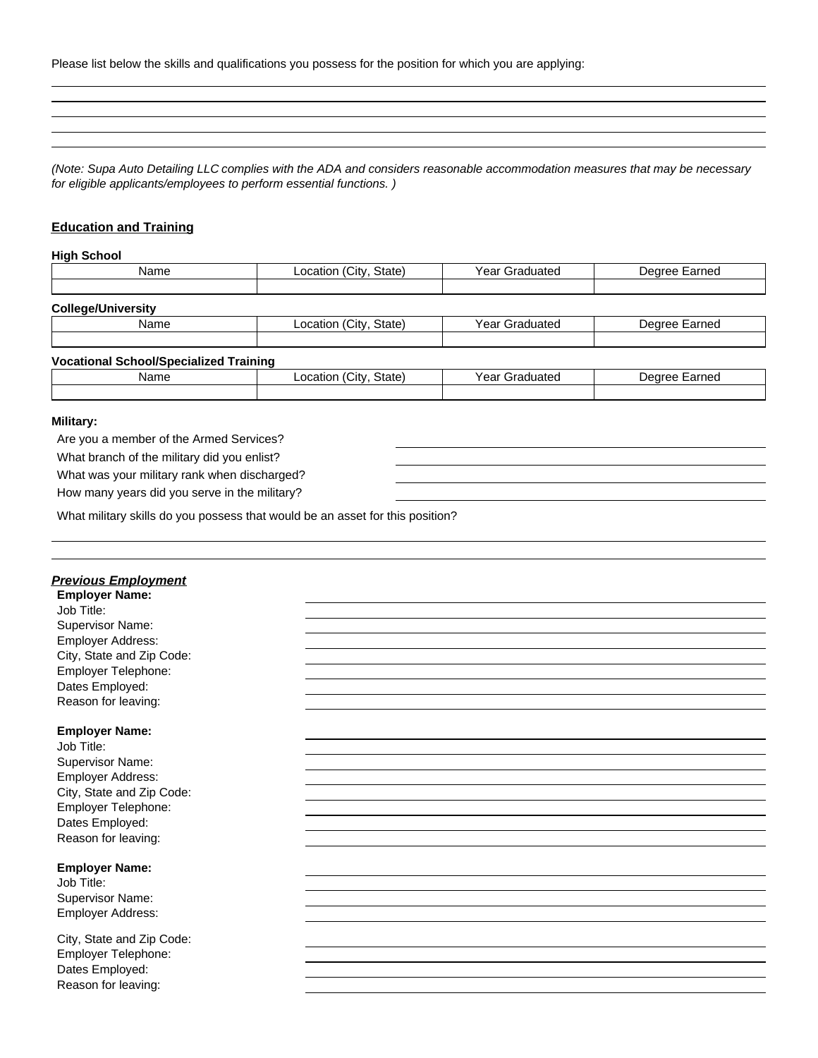Please list below the skills and qualifications you possess for the position for which you are applying:

 $\overline{\phantom{a}}$ 

*(Note: Supa Auto Detailing LLC complies with the ADA and considers reasonable accommodation measures that may be necessary for eligible applicants/employees to perform essential functions. )*

## **Education and Training**

#### **High School**

|                                               |                        | Degree Earned  |
|-----------------------------------------------|------------------------|----------------|
|                                               |                        |                |
|                                               |                        |                |
| Location (City, State)                        | Year Graduated         | Degree Earned  |
|                                               |                        |                |
| <b>Vocational School/Specialized Training</b> |                        |                |
| Location (City, State)                        | <b>Year Graduated</b>  | Degree Earned  |
|                                               |                        |                |
|                                               |                        |                |
|                                               | Location (City, State) | Year Graduated |

#### **Military:**

Are you a member of the Armed Services?

What branch of the military did you enlist?

What was your military rank when discharged?

How many years did you serve in the military?

What military skills do you possess that would be an asset for this position?

| <u>Previous Employment</u><br><b>Employer Name:</b> |  |
|-----------------------------------------------------|--|
| Job Title:                                          |  |
| Supervisor Name:                                    |  |
| Employer Address:                                   |  |
| City, State and Zip Code:                           |  |
| Employer Telephone:                                 |  |
| Dates Employed:                                     |  |
| Reason for leaving:                                 |  |
|                                                     |  |
| <b>Employer Name:</b>                               |  |
| Job Title:                                          |  |
| Supervisor Name:                                    |  |
| Employer Address:                                   |  |
| City, State and Zip Code:                           |  |
| Employer Telephone:                                 |  |
| Dates Employed:                                     |  |
| Reason for leaving:                                 |  |
| <b>Employer Name:</b>                               |  |
| Job Title:                                          |  |
| Supervisor Name:                                    |  |
| Employer Address:                                   |  |
| City, State and Zip Code:                           |  |
| Employer Telephone:                                 |  |
| Dates Employed:                                     |  |
| Reason for leaving:                                 |  |
|                                                     |  |